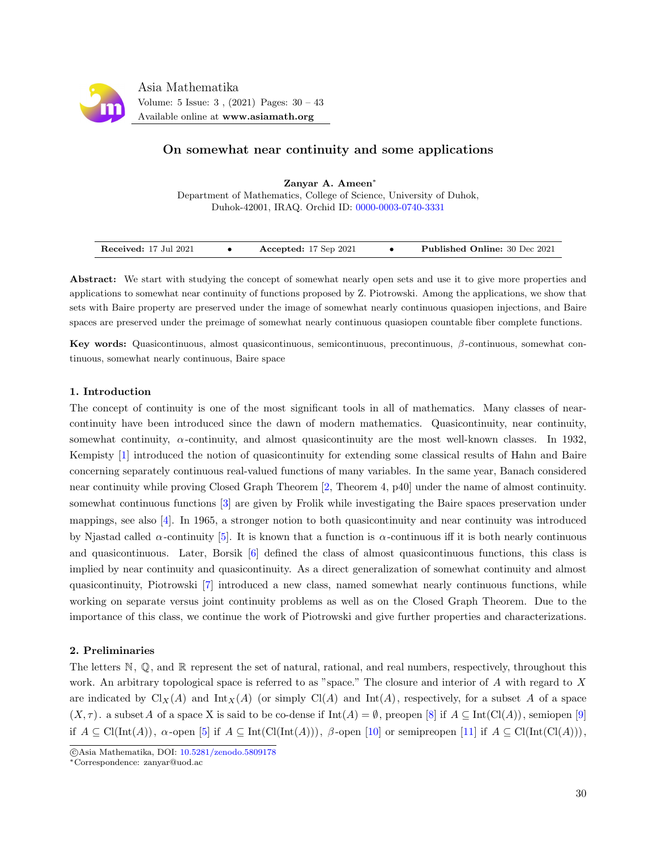

# On somewhat near continuity and some applications

Zanyar A. Ameen<sup>∗</sup> Department of Mathematics, College of Science, University of Duhok, Duhok-42001, IRAQ. Orchid ID: [0000-0003-0740-3331](https://orcid.org/0000-0003-0740-3331)

| Received: 17 Jul 2021 | Accepted: $17$ Sep $2021$ | <b>Published Online: 30 Dec 2021</b> |
|-----------------------|---------------------------|--------------------------------------|

Abstract: We start with studying the concept of somewhat nearly open sets and use it to give more properties and applications to somewhat near continuity of functions proposed by Z. Piotrowski. Among the applications, we show that sets with Baire property are preserved under the image of somewhat nearly continuous quasiopen injections, and Baire spaces are preserved under the preimage of somewhat nearly continuous quasiopen countable fiber complete functions.

Key words: Quasicontinuous, almost quasicontinuous, semicontinuous, precontinuous, β -continuous, somewhat continuous, somewhat nearly continuous, Baire space

## 1. Introduction

The concept of continuity is one of the most significant tools in all of mathematics. Many classes of nearcontinuity have been introduced since the dawn of modern mathematics. Quasicontinuity, near continuity, somewhat continuity,  $\alpha$ -continuity, and almost quasicontinuity are the most well-known classes. In 1932, Kempisty [\[1\]](#page-12-0) introduced the notion of quasicontinuity for extending some classical results of Hahn and Baire concerning separately continuous real-valued functions of many variables. In the same year, Banach considered near continuity while proving Closed Graph Theorem [\[2,](#page-12-1) Theorem 4, p40] under the name of almost continuity. somewhat continuous functions [\[3\]](#page-12-2) are given by Frolik while investigating the Baire spaces preservation under mappings, see also [\[4\]](#page-12-3). In 1965, a stronger notion to both quasicontinuity and near continuity was introduced by Njastad called  $\alpha$ -continuity [\[5\]](#page-12-4). It is known that a function is  $\alpha$ -continuous iff it is both nearly continuous and quasicontinuous. Later, Borsik [\[6\]](#page-12-5) defined the class of almost quasicontinuous functions, this class is implied by near continuity and quasicontinuity. As a direct generalization of somewhat continuity and almost quasicontinuity, Piotrowski [\[7\]](#page-12-6) introduced a new class, named somewhat nearly continuous functions, while working on separate versus joint continuity problems as well as on the Closed Graph Theorem. Due to the importance of this class, we continue the work of Piotrowski and give further properties and characterizations.

## 2. Preliminaries

The letters  $\mathbb{N}, \mathbb{Q}$ , and  $\mathbb{R}$  represent the set of natural, rational, and real numbers, respectively, throughout this work. An arbitrary topological space is referred to as "space." The closure and interior of A with regard to X are indicated by  $\text{Cl}_X(A)$  and  $\text{Int}_X(A)$  (or simply  $\text{Cl}(A)$  and  $\text{Int}(A)$ , respectively, for a subset A of a space  $(X, \tau)$ . a subset A of a space X is said to be co-dense if  $Int(A) = \emptyset$ , preopen [\[8\]](#page-12-7) if  $A \subseteq Int(Cl(A))$ , semiopen [\[9\]](#page-12-8) if  $A \subseteq \text{Cl}(\text{Int}(A)), \alpha$ -open [\[5\]](#page-12-4) if  $A \subseteq \text{Int}(\text{Cl}(\text{Int}(A))), \beta$ -open [\[10\]](#page-13-0) or semipreopen [\[11\]](#page-13-1) if  $A \subseteq \text{Cl}(\text{Int}(\text{Cl}(A))),$ 

c Asia Mathematika, DOI: [10.5281/zenodo.5809178](http://www.asiamath.org/article/vol5iss3/AM-2108-5219.pdf)

<sup>∗</sup>Correspondence: zanyar@uod.ac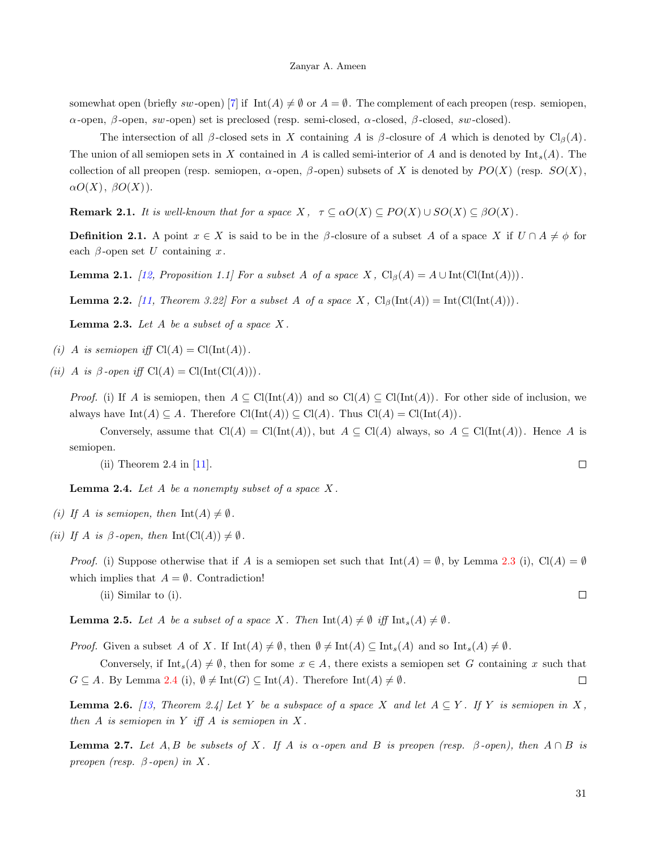somewhat open (briefly sw-open) [\[7\]](#page-12-6) if  $\text{Int}(A) \neq \emptyset$  or  $A = \emptyset$ . The complement of each preopen (resp. semiopen, α-open, β-open, sw-open) set is preclosed (resp. semi-closed,  $α$ -closed,  $β$ -closed, sw-closed).

The intersection of all  $\beta$ -closed sets in X containing A is  $\beta$ -closure of A which is denoted by Cl<sub>β</sub>(A). The union of all semiopen sets in X contained in A is called semi-interior of A and is denoted by  $\text{Int}_s(A)$ . The collection of all preopen (resp. semiopen,  $\alpha$ -open,  $\beta$ -open) subsets of X is denoted by  $PO(X)$  (resp.  $SO(X)$ ,  $\alpha O(X), \ \beta O(X)$ ).

<span id="page-1-3"></span>**Remark 2.1.** It is well-known that for a space  $X$ ,  $\tau \subseteq \alpha O(X) \subseteq PO(X) \cup SO(X) \subseteq \beta O(X)$ .

**Definition 2.1.** A point  $x \in X$  is said to be in the  $\beta$ -closure of a subset A of a space X if  $U \cap A \neq \phi$  for each  $\beta$ -open set U containing x.

<span id="page-1-6"></span>**Lemma 2.1.** [\[12,](#page-13-2) Proposition 1.1] For a subset A of a space X,  $Cl_{\beta}(A) = A \cup Int(ClInt(A)))$ .

<span id="page-1-7"></span>**Lemma 2.2.** [\[11,](#page-13-1) Theorem 3.22] For a subset A of a space X,  $Cl_{\beta}(\text{Int}(A)) = \text{Int}(Cl(\text{Int}(A)))$ .

<span id="page-1-0"></span>**Lemma 2.3.** Let  $A$  be a subset of a space  $X$ .

- (i) A is semiopen iff  $Cl(A) = Cl(Int(A))$ .
- (ii) A is  $\beta$ -open iff  $Cl(A) = Cl(Int(Cl(A))).$

*Proof.* (i) If A is semiopen, then  $A \subseteq \text{Cl}(\text{Int}(A))$  and so  $\text{Cl}(A) \subseteq \text{Cl}(\text{Int}(A))$ . For other side of inclusion, we always have  $\text{Int}(A) \subseteq A$ . Therefore  $\text{Cl}(\text{Int}(A)) \subseteq \text{Cl}(A)$ . Thus  $\text{Cl}(A) = \text{Cl}(\text{Int}(A))$ .

Conversely, assume that  $Cl(A) = Cl(Int(A))$ , but  $A \subseteq Cl(A)$  always, so  $A \subseteq Cl(Int(A))$ . Hence A is semiopen.

(ii) Theorem 2.4 in [\[11\]](#page-13-1).

<span id="page-1-1"></span>**Lemma 2.4.** Let  $A$  be a nonempty subset of a space  $X$ .

- (i) If A is semiopen, then  $Int(A) \neq \emptyset$ .
- (ii) If A is  $\beta$ -open, then Int(Cl(A))  $\neq \emptyset$ .

*Proof.* (i) Suppose otherwise that if A is a semiopen set such that  $\text{Int}(A) = \emptyset$ , by Lemma [2.3](#page-1-0) (i), Cl(A) =  $\emptyset$ which implies that  $A = \emptyset$ . Contradiction!

(ii) Similar to (i).

<span id="page-1-2"></span>**Lemma 2.5.** Let A be a subset of a space X. Then  $\text{Int}(A) \neq \emptyset$  iff  $\text{Int}_s(A) \neq \emptyset$ .

*Proof.* Given a subset A of X. If  $\text{Int}(A) \neq \emptyset$ , then  $\emptyset \neq \text{Int}(A) \subseteq \text{Int}_s(A)$  and so  $\text{Int}_s(A) \neq \emptyset$ .

Conversely, if  $\text{Int}_{s}(A) \neq \emptyset$ , then for some  $x \in A$ , there exists a semiopen set G containing x such that  $G \subseteq A$ . By Lemma [2.4](#page-1-1) (i),  $\emptyset \neq \text{Int}(G) \subseteq \text{Int}(A)$ . Therefore  $\text{Int}(A) \neq \emptyset$ .  $\Box$ 

<span id="page-1-4"></span>**Lemma 2.6.** [\[13,](#page-13-3) Theorem 2.4] Let Y be a subspace of a space X and let  $A \subseteq Y$ . If Y is semiopen in X, then  $A$  is semiopen in  $Y$  iff  $A$  is semiopen in  $X$ .

<span id="page-1-5"></span>**Lemma 2.7.** Let A, B be subsets of X. If A is  $\alpha$ -open and B is preopen (resp.  $\beta$ -open), then  $A \cap B$  is preopen (resp.  $\beta$ -open) in X.

 $\Box$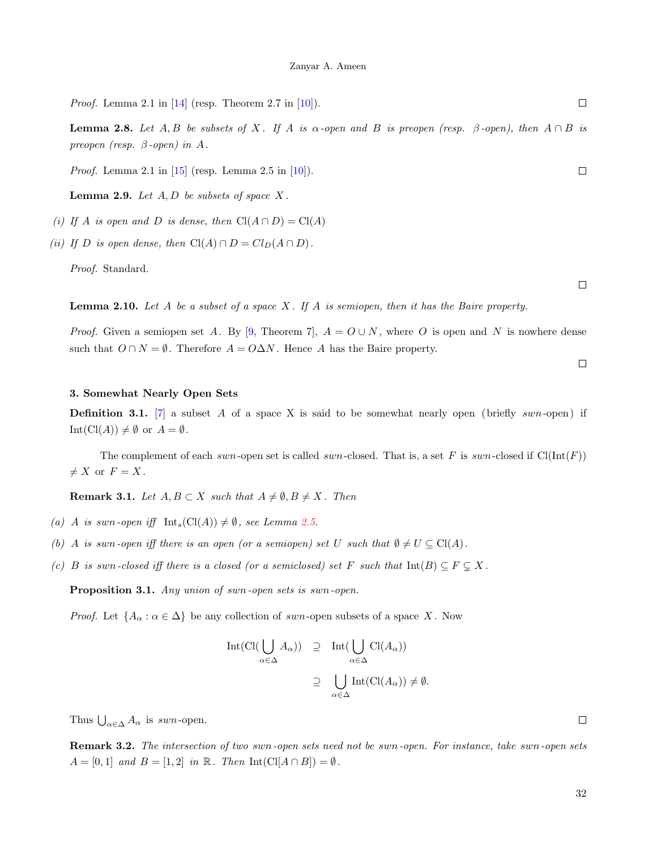*Proof.* Lemma 2.1 in  $[14]$  (resp. Theorem 2.7 in  $[10]$ ).

<span id="page-2-1"></span>**Lemma 2.8.** Let A, B be subsets of X. If A is  $\alpha$ -open and B is preopen (resp.  $\beta$ -open), then  $A \cap B$  is preopen (resp.  $\beta$ -open) in A.

*Proof.* Lemma 2.1 in  $[15]$  (resp. Lemma 2.5 in  $[10]$ ).

<span id="page-2-0"></span>**Lemma 2.9.** Let  $A, D$  be subsets of space  $X$ .

- (i) If A is open and D is dense, then  $Cl(A \cap D) = Cl(A)$
- (ii) If D is open dense, then  $Cl(A) \cap D = Cl_D(A \cap D)$ .

Proof. Standard.

<span id="page-2-4"></span>**Lemma 2.10.** Let A be a subset of a space X. If A is semiopen, then it has the Baire property.

*Proof.* Given a semiopen set A. By [\[9,](#page-12-8) Theorem 7],  $A = O \cup N$ , where O is open and N is nowhere dense such that  $O \cap N = \emptyset$ . Therefore  $A = O \Delta N$ . Hence A has the Baire property.

### 3. Somewhat Nearly Open Sets

**Definition 3.1.** [\[7\]](#page-12-6) a subset A of a space X is said to be somewhat nearly open (briefly swn-open) if  $Int(Cl(A)) \neq \emptyset$  or  $A = \emptyset$ .

The complement of each swn-open set is called swn-closed. That is, a set F is swn-closed if  $Cl(int(F))$  $\neq X$  or  $F = X$ .

<span id="page-2-3"></span>**Remark 3.1.** Let  $A, B \subset X$  such that  $A \neq \emptyset, B \neq X$ . Then

- (a) A is swn-open iff  $Int_s(Cl(A)) \neq \emptyset$ , see Lemma [2.5.](#page-1-2)
- (b) A is swn-open iff there is an open (or a semiopen) set U such that  $\emptyset \neq U \subseteq \text{Cl}(A)$ .
- (c) B is swn-closed iff there is a closed (or a semiclosed) set F such that  $Int(B) \subseteq F \subsetneq X$ .

<span id="page-2-2"></span>Proposition 3.1. Any union of swn-open sets is swn-open.

*Proof.* Let  $\{A_{\alpha} : \alpha \in \Delta\}$  be any collection of swn-open subsets of a space X. Now

$$
Int(Cl(\bigcup_{\alpha \in \Delta} A_{\alpha})) \supseteq Int(\bigcup_{\alpha \in \Delta} Cl(A_{\alpha}))
$$
  

$$
\supseteq \bigcup_{\alpha \in \Delta} Int(Cl(A_{\alpha})) \neq \emptyset.
$$

Thus  $\bigcup_{\alpha \in \Delta} A_{\alpha}$  is swn-open.

Remark 3.2. The intersection of two swn-open sets need not be swn-open. For instance, take swn-open sets  $A = [0, 1]$  and  $B = [1, 2]$  in  $\mathbb R$ . Then  $Int(Cl[A \cap B]) = \emptyset$ .

 $\Box$ 

 $\Box$ 

 $\Box$ 

 $\Box$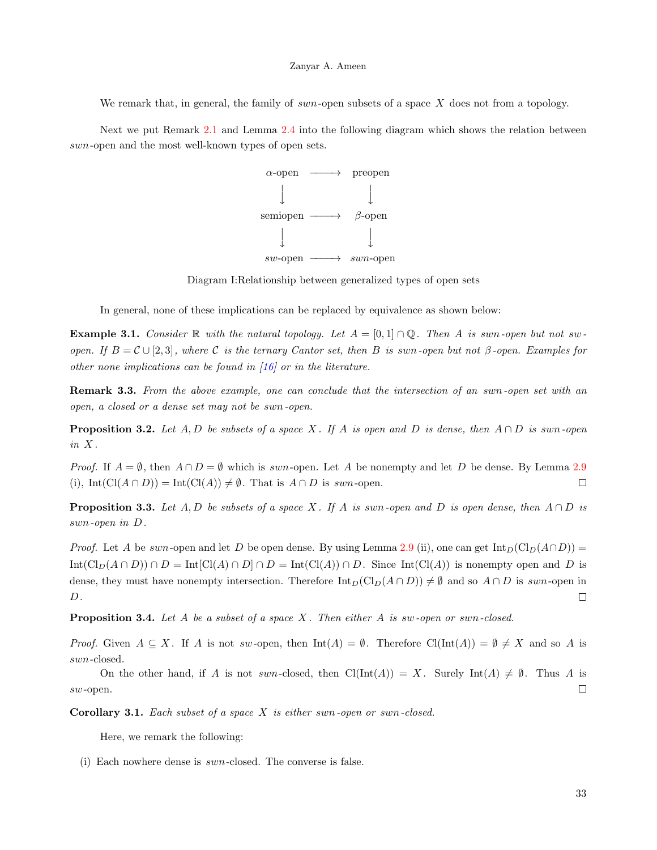We remark that, in general, the family of swn-open subsets of a space  $X$  does not from a topology.

Next we put Remark [2.1](#page-1-3) and Lemma [2.4](#page-1-1) into the following diagram which shows the relation between swn-open and the most well-known types of open sets.



Diagram I:Relationship between generalized types of open sets

In general, none of these implications can be replaced by equivalence as shown below:

**Example 3.1.** Consider R with the natural topology. Let  $A = [0,1] \cap \mathbb{Q}$ . Then A is swn-open but not swopen. If  $B = \mathcal{C} \cup [2, 3]$ , where C is the ternary Cantor set, then B is swn-open but not  $\beta$ -open. Examples for other none implications can be found in [\[16\]](#page-13-6) or in the literature.

<span id="page-3-1"></span>**Remark 3.3.** From the above example, one can conclude that the intersection of an swn-open set with an open, a closed or a dense set may not be swn-open.

**Proposition 3.2.** Let A, D be subsets of a space X. If A is open and D is dense, then  $A \cap D$  is swn-open  $in X$ .

*Proof.* If  $A = \emptyset$ , then  $A \cap D = \emptyset$  which is swn-open. Let A be nonempty and let D be dense. By Lemma [2.9](#page-2-0) (i), Int(Cl( $A \cap D$ )) = Int(Cl( $A$ ))  $\neq \emptyset$ . That is  $A \cap D$  is swn-open.  $\Box$ 

<span id="page-3-0"></span>**Proposition 3.3.** Let A, D be subsets of a space X. If A is swn-open and D is open dense, then  $A \cap D$  is swn-open in D.

*Proof.* Let A be swn-open and let D be open dense. By using Lemma [2.9](#page-2-0) (ii), one can get  $\text{Int}_D(\text{Cl}_D(A \cap D))$  =  $\text{Int}(\text{Cl}_D(A \cap D)) \cap D = \text{Int}[\text{Cl}(A) \cap D] \cap D = \text{Int}(\text{Cl}(A)) \cap D$ . Since  $\text{Int}(\text{Cl}(A))$  is nonempty open and D is dense, they must have nonempty intersection. Therefore  $\text{Int}_D(\text{Cl}_D(A \cap D)) \neq \emptyset$  and so  $A \cap D$  is swn-open in  $D$ .  $\Box$ 

**Proposition 3.4.** Let A be a subset of a space X. Then either A is sw-open or swn-closed.

*Proof.* Given  $A \subseteq X$ . If A is not sw-open, then  $\text{Int}(A) = \emptyset$ . Therefore  $\text{Cl}(\text{Int}(A)) = \emptyset \neq X$  and so A is swn-closed.

On the other hand, if A is not swn-closed, then  $\text{Cl}(\text{Int}(A)) = X$ . Surely  $\text{Int}(A) \neq \emptyset$ . Thus A is sw-open.  $\Box$ 

**Corollary 3.1.** Each subset of a space  $X$  is either swn-open or swn-closed.

Here, we remark the following:

(i) Each nowhere dense is swn-closed. The converse is false.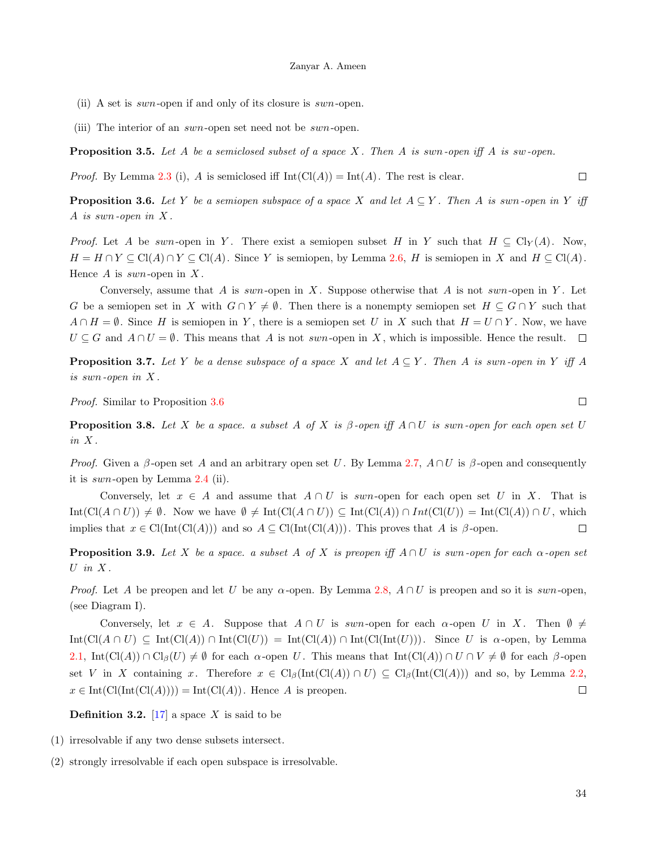(ii) A set is swn-open if and only of its closure is swn-open.

(iii) The interior of an swn-open set need not be swn-open.

<span id="page-4-3"></span>**Proposition 3.5.** Let A be a semiclosed subset of a space X. Then A is swn-open iff A is sw-open.

*Proof.* By Lemma [2.3](#page-1-0) (i), A is semiclosed iff  $Int(Cl(A)) = Int(A)$ . The rest is clear.  $\Box$ 

<span id="page-4-0"></span>**Proposition 3.6.** Let Y be a semiopen subspace of a space X and let  $A \subseteq Y$ . Then A is swn-open in Y iff A is swn-open in  $X$ .

*Proof.* Let A be swn-open in Y. There exist a semiopen subset H in Y such that  $H \subseteq Cl_Y(A)$ . Now,  $H = H \cap Y \subseteq \text{Cl}(A) \cap Y \subseteq \text{Cl}(A)$ . Since Y is semiopen, by Lemma [2.6,](#page-1-4) H is semiopen in X and  $H \subseteq \text{Cl}(A)$ . Hence  $A$  is swn-open in  $X$ .

Conversely, assume that A is swn-open in X. Suppose otherwise that A is not swn-open in Y. Let G be a semiopen set in X with  $G \cap Y \neq \emptyset$ . Then there is a nonempty semiopen set  $H \subseteq G \cap Y$  such that  $A \cap H = \emptyset$ . Since H is semiopen in Y, there is a semiopen set U in X such that  $H = U \cap Y$ . Now, we have  $U \subseteq G$  and  $A \cap U = \emptyset$ . This means that A is not swn-open in X, which is impossible. Hence the result.  $\square$ 

**Proposition 3.7.** Let Y be a dense subspace of a space X and let  $A \subseteq Y$ . Then A is swn-open in Y iff A is swn-open in X .

Proof. Similar to Proposition [3.6](#page-4-0)

<span id="page-4-1"></span>**Proposition 3.8.** Let X be a space. a subset A of X is  $\beta$ -open iff  $A \cap U$  is swn-open for each open set U in X .

*Proof.* Given a  $\beta$ -open set A and an arbitrary open set U. By Lemma [2.7,](#page-1-5)  $A \cap U$  is  $\beta$ -open and consequently it is swn-open by Lemma  $2.4$  (ii).

Conversely, let  $x \in A$  and assume that  $A \cap U$  is swn-open for each open set U in X. That is  $Int(Cl(A \cap U)) \neq \emptyset$ . Now we have  $\emptyset \neq Int(Cl(A \cap U)) \subseteq Int(Cl(A)) \cap Int(Cl(U)) = Int(Cl(A)) \cap U$ , which implies that  $x \in \text{Cl}(\text{Int}(\text{Cl}(A)))$  and so  $A \subseteq \text{Cl}(\text{Int}(\text{Cl}(A)))$ . This proves that A is  $\beta$ -open.  $\Box$ 

<span id="page-4-2"></span>**Proposition 3.9.** Let X be a space. a subset A of X is preopen iff  $A \cap U$  is swn-open for each  $\alpha$ -open set U in  $X$ .

*Proof.* Let A be preopen and let U be any  $\alpha$ -open. By Lemma [2.8,](#page-2-1)  $A \cap U$  is preopen and so it is swn-open, (see Diagram I).

Conversely, let  $x \in A$ . Suppose that  $A \cap U$  is swn-open for each  $\alpha$ -open U in X. Then  $\emptyset \neq$  $Int(Cl(A \cap U) \subseteq Int(Cl(A)) \cap Int(Cl(U)) = Int(Cl(A)) \cap Int(ClInt(U))$ . Since U is  $\alpha$ -open, by Lemma [2.1,](#page-1-6)  $\text{Int}(\text{Cl}(A)) \cap \text{Cl}_{\beta}(U) \neq \emptyset$  for each  $\alpha$ -open U. This means that  $\text{Int}(\text{Cl}(A)) \cap U \cap V \neq \emptyset$  for each  $\beta$ -open set V in X containing x. Therefore  $x \in Cl_\beta(\text{Int}(Cl(A)) \cap U) \subseteq Cl_\beta(\text{Int}(Cl(A)))$  and so, by Lemma [2.2,](#page-1-7)  $x \in Int(ClInt(Cl(A)))) = Int(Cl(A))$ . Hence A is preopen.  $\Box$ 

**Definition 3.2.** [\[17\]](#page-13-7) a space X is said to be

- (1) irresolvable if any two dense subsets intersect.
- (2) strongly irresolvable if each open subspace is irresolvable.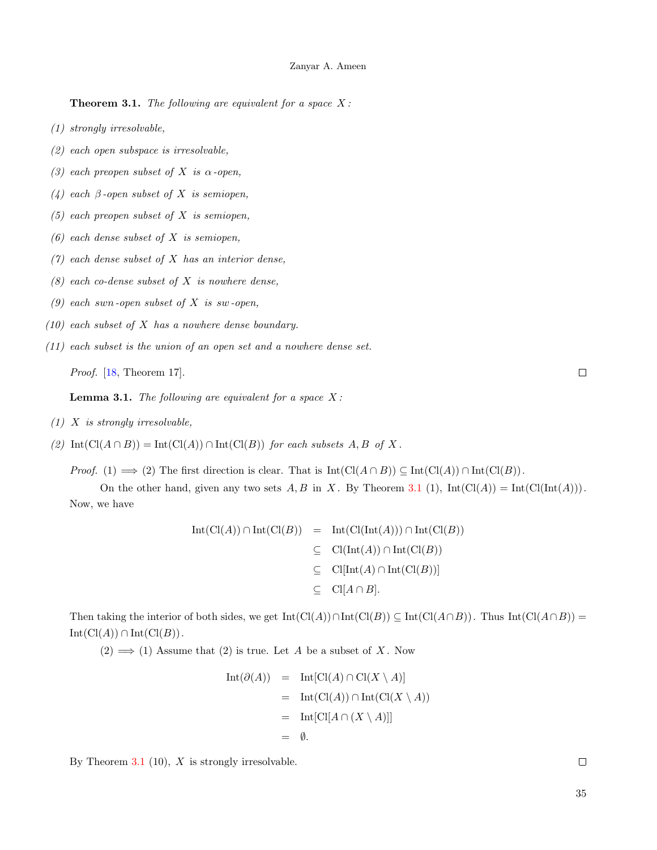<span id="page-5-0"></span>**Theorem 3.1.** The following are equivalent for a space  $X$ :

- (1) strongly irresolvable,
- (2) each open subspace is irresolvable,
- (3) each preopen subset of X is  $\alpha$ -open,
- (4) each  $\beta$ -open subset of X is semiopen,
- $(5)$  each preopen subset of X is semiopen,
- $(6)$  each dense subset of X is semiopen,
- $(7)$  each dense subset of X has an interior dense,
- $(8)$  each co-dense subset of X is nowhere dense,
- (9) each swn-open subset of  $X$  is sw-open,
- $(10)$  each subset of X has a nowhere dense boundary.
- (11) each subset is the union of an open set and a nowhere dense set.

Proof. [\[18,](#page-13-8) Theorem 17].

<span id="page-5-1"></span>**Lemma 3.1.** The following are equivalent for a space  $X$ :

- $(1)$  X is strongly irresolvable,
- (2)  $\text{Int}(\text{Cl}(A \cap B)) = \text{Int}(\text{Cl}(A)) \cap \text{Int}(\text{Cl}(B))$  for each subsets A, B of X.

*Proof.* (1)  $\implies$  (2) The first direction is clear. That is  $Int(Cl(A \cap B)) \subseteq Int(Cl(A)) \cap Int(Cl(B))$ .

On the other hand, given any two sets A, B in X. By Theorem [3.1](#page-5-0) (1),  $Int(Cl(A)) = Int(Cl(int(A)))$ . Now, we have

$$
Int(Cl(A)) \cap Int(Cl(B)) = Int(Cl(int(A))) \cap Int(Cl(B))
$$
  
\n
$$
\subseteq Cl(int(A)) \cap Int(Cl(B))
$$
  
\n
$$
\subseteq Cl[Int(A) \cap Int(Cl(B))]
$$
  
\n
$$
\subseteq Cl[A \cap B].
$$

Then taking the interior of both sides, we get  $Int(Cl(A)) \cap Int(Cl(B)) \subseteq Int(Cl(A \cap B))$ . Thus  $Int(Cl(A \cap B)) =$  $Int(Cl(A)) \cap Int(Cl(B)).$ 

 $(2) \implies (1)$  Assume that  $(2)$  is true. Let A be a subset of X. Now

$$
Int(\partial(A)) = Int[Cl(A) \cap Cl(X \setminus A)]
$$
  
= Int(Cl(A)) \cap Int(Cl(X \setminus A))  
= Int[Cl[A \cap (X \setminus A)]]  
=  $\emptyset$ .

By Theorem [3.1](#page-5-0)  $(10)$ , X is strongly irresolvable.

 $\Box$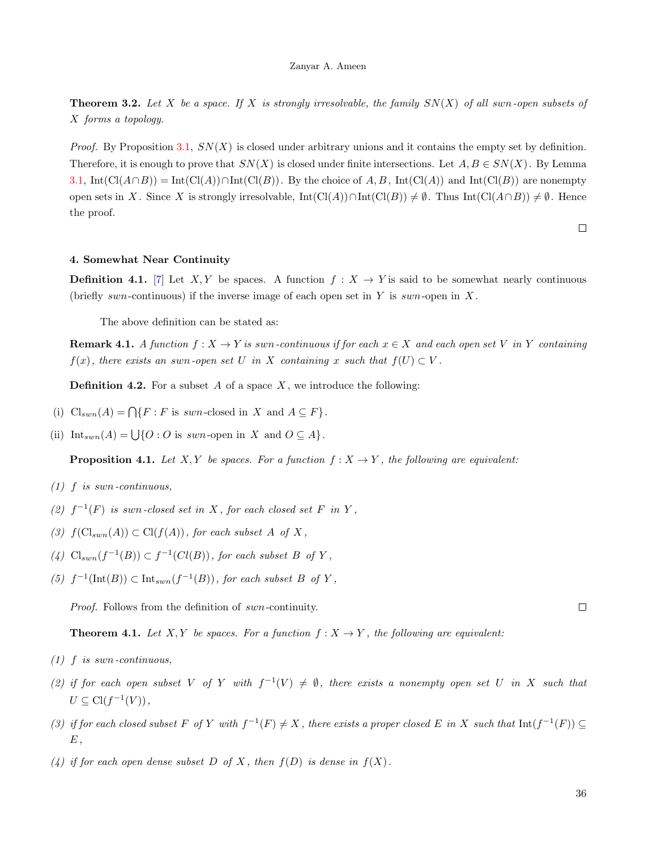**Theorem 3.2.** Let X be a space. If X is strongly irresolvable, the family  $SN(X)$  of all swn-open subsets of X forms a topology.

*Proof.* By Proposition [3.1,](#page-2-2)  $SN(X)$  is closed under arbitrary unions and it contains the empty set by definition. Therefore, it is enough to prove that  $SN(X)$  is closed under finite intersections. Let  $A, B \in SN(X)$ . By Lemma [3.1,](#page-5-1) Int(Cl(A∩B)) = Int(Cl(A))∩Int(Cl(B)). By the choice of A, B, Int(Cl(A)) and Int(Cl(B)) are nonempty open sets in X. Since X is strongly irresolvable,  $\text{Int}(\text{Cl}(A)) \cap \text{Int}(\text{Cl}(B)) \neq \emptyset$ . Thus  $\text{Int}(\text{Cl}(A \cap B)) \neq \emptyset$ . Hence the proof.

 $\Box$ 

# 4. Somewhat Near Continuity

**Definition 4.1.** [\[7\]](#page-12-6) Let X, Y be spaces. A function  $f: X \to Y$  is said to be somewhat nearly continuous (briefly swn-continuous) if the inverse image of each open set in Y is swn-open in X.

The above definition can be stated as:

**Remark 4.1.** A function  $f: X \to Y$  is swn-continuous if for each  $x \in X$  and each open set V in Y containing  $f(x)$ , there exists an swn-open set U in X containing x such that  $f(U) \subset V$ .

**Definition 4.2.** For a subset A of a space X, we introduce the following:

- (i)  $\text{Cl}_{sum}(A) = \bigcap \{F : F \text{ is } sum \text{-closed in } X \text{ and } A \subseteq F\}.$
- (ii)  $\text{Int}_{\text{sum}}(A) = \bigcup \{O : O \text{ is } \text{sum-open in } X \text{ and } O \subseteq A \}.$

**Proposition 4.1.** Let X, Y be spaces. For a function  $f: X \to Y$ , the following are equivalent:

- $(1)$  f is swn-continuous,
- (2)  $f^{-1}(F)$  is swn-closed set in X, for each closed set F in Y,
- (3)  $f(\text{Cl}_{sym}(A)) \subset \text{Cl}(f(A))$ , for each subset A of X,
- (4)  $\text{Cl}_{sum}(f^{-1}(B)) \subset f^{-1}(Cl(B)),$  for each subset B of Y,
- (5)  $f^{-1}(\text{Int}(B)) \subset \text{Int}_{sum}(f^{-1}(B))$ , for each subset B of Y,

Proof. Follows from the definition of swn-continuity.

<span id="page-6-0"></span>**Theorem 4.1.** Let X, Y be spaces. For a function  $f: X \to Y$ , the following are equivalent:

- $(1)$  f is swn-continuous,
- (2) if for each open subset V of Y with  $f^{-1}(V) \neq \emptyset$ , there exists a nonempty open set U in X such that  $U \subseteq \mathrm{Cl}(f^{-1}(V)),$
- (3) if for each closed subset F of Y with  $f^{-1}(F) \neq X$ , there exists a proper closed E in X such that  $\text{Int}(f^{-1}(F)) \subseteq$  $E$ ,
- (4) if for each open dense subset D of X, then  $f(D)$  is dense in  $f(X)$ .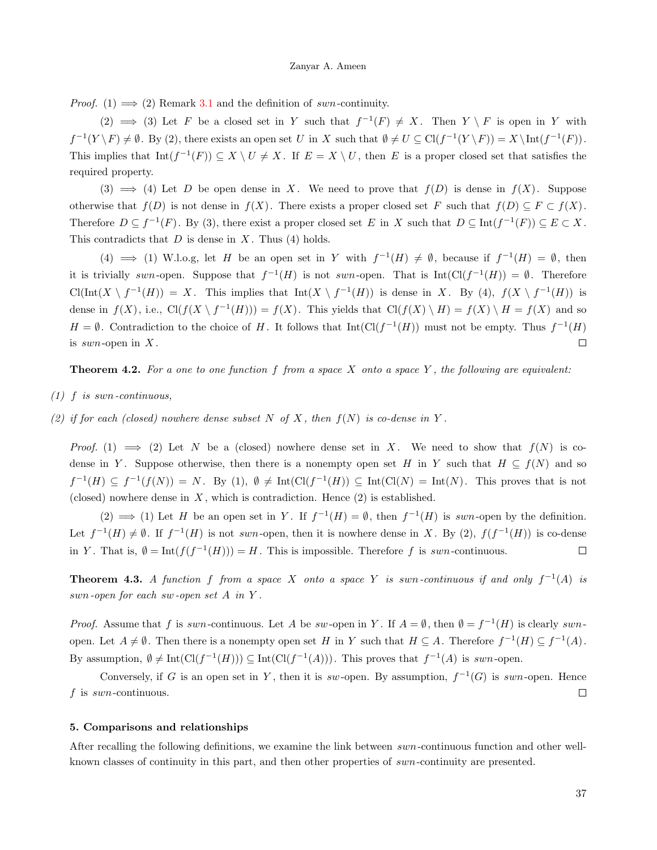*Proof.* (1)  $\implies$  (2) Remark [3.1](#page-2-3) and the definition of swn-continuity.

(2)  $\implies$  (3) Let F be a closed set in Y such that  $f^{-1}(F) \neq X$ . Then  $Y \setminus F$  is open in Y with  $f^{-1}(Y \setminus F) \neq \emptyset$ . By (2), there exists an open set U in X such that  $\emptyset \neq U \subseteq \mathrm{Cl}(f^{-1}(Y \setminus F)) = X \setminus \mathrm{Int}(f^{-1}(F))$ . This implies that  $Int(f^{-1}(F)) \subseteq X \setminus U \neq X$ . If  $E = X \setminus U$ , then E is a proper closed set that satisfies the required property.

(3)  $\implies$  (4) Let D be open dense in X. We need to prove that  $f(D)$  is dense in  $f(X)$ . Suppose otherwise that  $f(D)$  is not dense in  $f(X)$ . There exists a proper closed set F such that  $f(D) \subseteq F \subset f(X)$ . Therefore  $D \subseteq f^{-1}(F)$ . By (3), there exist a proper closed set E in X such that  $D \subseteq \text{Int}(f^{-1}(F)) \subseteq E \subset X$ . This contradicts that  $D$  is dense in  $X$ . Thus (4) holds.

(4)  $\implies$  (1) W.l.o.g, let H be an open set in Y with  $f^{-1}(H) \neq \emptyset$ , because if  $f^{-1}(H) = \emptyset$ , then it is trivially swn-open. Suppose that  $f^{-1}(H)$  is not swn-open. That is  $Int(Cl(f^{-1}(H)) = \emptyset$ . Therefore  $\text{Cl}(\text{Int}(X \setminus f^{-1}(H)) = X$ . This implies that  $\text{Int}(X \setminus f^{-1}(H))$  is dense in X. By (4),  $f(X \setminus f^{-1}(H))$  is dense in  $f(X)$ , i.e.,  $Cl(f(X \setminus f^{-1}(H))) = f(X)$ . This yields that  $Cl(f(X) \setminus H) = f(X) \setminus H = f(X)$  and so  $H = \emptyset$ . Contradiction to the choice of H. It follows that  $Int(Cl(f^{-1}(H))$  must not be empty. Thus  $f^{-1}(H)$ is  $sum$ -open in  $X$ .  $\Box$ 

<span id="page-7-0"></span>**Theorem 4.2.** For a one to one function f from a space X onto a space Y, the following are equivalent:

- $(1)$  f is swn-continuous,
- (2) if for each (closed) nowhere dense subset N of X, then  $f(N)$  is co-dense in Y.

*Proof.* (1)  $\implies$  (2) Let N be a (closed) nowhere dense set in X. We need to show that  $f(N)$  is codense in Y. Suppose otherwise, then there is a nonempty open set H in Y such that  $H \subseteq f(N)$  and so  $f^{-1}(H) \subseteq f^{-1}(f(N)) = N$ . By (1),  $\emptyset \neq \text{Int}(\text{Cl}(f^{-1}(H)) \subseteq \text{Int}(\text{Cl}(N)) = \text{Int}(N)$ . This proves that is not (closed) nowhere dense in  $X$ , which is contradiction. Hence  $(2)$  is established.

(2)  $\implies$  (1) Let H be an open set in Y. If  $f^{-1}(H) = \emptyset$ , then  $f^{-1}(H)$  is swn-open by the definition. Let  $f^{-1}(H) \neq \emptyset$ . If  $f^{-1}(H)$  is not swn-open, then it is nowhere dense in X. By (2),  $f(f^{-1}(H))$  is co-dense in Y. That is,  $\emptyset = \text{Int}(f(f^{-1}(H))) = H$ . This is impossible. Therefore f is swn-continuous.  $\Box$ 

**Theorem 4.3.** A function f from a space X onto a space Y is swn-continuous if and only  $f^{-1}(A)$  is swn-open for each sw-open set A in Y .

*Proof.* Assume that f is swn-continuous. Let A be sw-open in Y. If  $A = \emptyset$ , then  $\emptyset = f^{-1}(H)$  is clearly swnopen. Let  $A \neq \emptyset$ . Then there is a nonempty open set H in Y such that  $H \subseteq A$ . Therefore  $f^{-1}(H) \subseteq f^{-1}(A)$ . By assumption,  $\emptyset \neq \text{Int}(\text{Cl}(f^{-1}(H))) \subseteq \text{Int}(\text{Cl}(f^{-1}(A)))$ . This proves that  $f^{-1}(A)$  is swn-open.

Conversely, if G is an open set in Y, then it is sw-open. By assumption,  $f^{-1}(G)$  is swn-open. Hence f is  $sum$ -continuous.  $\Box$ 

#### 5. Comparisons and relationships

After recalling the following definitions, we examine the link between swn-continuous function and other wellknown classes of continuity in this part, and then other properties of swn-continuity are presented.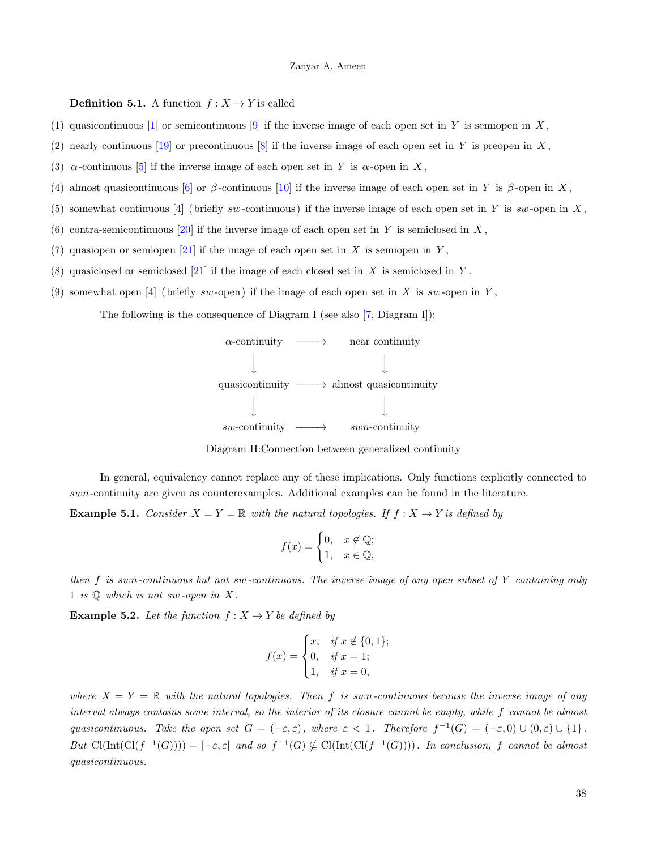### **Definition 5.1.** A function  $f: X \to Y$  is called

- (1) quasicontinuous [\[1\]](#page-12-0) or semicontinuous [\[9\]](#page-12-8) if the inverse image of each open set in Y is semiopen in X,
- (2) nearly continuous [\[19\]](#page-13-9) or precontinuous [\[8\]](#page-12-7) if the inverse image of each open set in Y is preopen in X,
- (3)  $\alpha$ -continuous [\[5\]](#page-12-4) if the inverse image of each open set in Y is  $\alpha$ -open in X,
- (4) almost quasicontinuous [\[6\]](#page-12-5) or  $\beta$ -continuous [\[10\]](#page-13-0) if the inverse image of each open set in Y is  $\beta$ -open in X,
- (5) somewhat continuous  $[4]$  (briefly sw-continuous) if the inverse image of each open set in Y is sw-open in X,
- (6) contra-semicontinuous [\[20\]](#page-13-10) if the inverse image of each open set in Y is semiclosed in X,
- (7) quasiopen or semiopen  $[21]$  if the image of each open set in X is semiopen in Y,
- (8) quasiclosed or semiclosed [\[21\]](#page-13-11) if the image of each closed set in X is semiclosed in Y.
- (9) somewhat open [\[4\]](#page-12-3) (briefly sw-open) if the image of each open set in X is sw-open in Y,

The following is the consequence of Diagram I (see also [\[7,](#page-12-6) Diagram I]):





In general, equivalency cannot replace any of these implications. Only functions explicitly connected to swn-continuity are given as counterexamples. Additional examples can be found in the literature. **Example 5.1.** Consider  $X = Y = \mathbb{R}$  with the natural topologies. If  $f : X \to Y$  is defined by

$$
f(x) = \begin{cases} 0, & x \notin \mathbb{Q}; \\ 1, & x \in \mathbb{Q}, \end{cases}
$$

then f is swn-continuous but not sw-continuous. The inverse image of any open subset of Y containing only 1 is  $\mathbb Q$  which is not sw-open in X.

**Example 5.2.** Let the function  $f: X \rightarrow Y$  be defined by

$$
f(x) = \begin{cases} x, & \text{if } x \notin \{0, 1\}; \\ 0, & \text{if } x = 1; \\ 1, & \text{if } x = 0, \end{cases}
$$

where  $X = Y = \mathbb{R}$  with the natural topologies. Then f is swn-continuous because the inverse image of any interval always contains some interval, so the interior of its closure cannot be empty, while f cannot be almost quasicontinuous. Take the open set  $G = (-\varepsilon, \varepsilon)$ , where  $\varepsilon < 1$ . Therefore  $f^{-1}(G) = (-\varepsilon, 0) \cup (0, \varepsilon) \cup \{1\}$ . But  $Cl(Int(Cl(f^{-1}(G)))) = [-\varepsilon, \varepsilon]$  and so  $f^{-1}(G) \nsubseteq Cl(Int(Cl(f^{-1}(G))))$ . In conclusion, f cannot be almost quasicontinuous.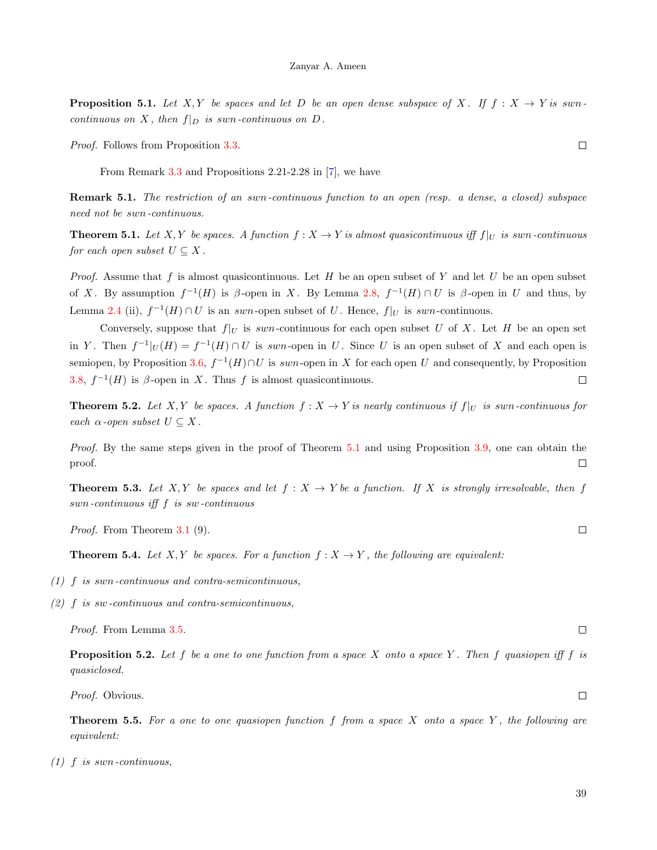**Proposition 5.1.** Let X, Y be spaces and let D be an open dense subspace of X. If  $f: X \rightarrow Y$  is swncontinuous on X, then  $f|_D$  is swn-continuous on D.

Proof. Follows from Proposition [3.3.](#page-3-0)

From Remark [3.3](#page-3-1) and Propositions 2.21-2.28 in [\[7\]](#page-12-6), we have

Remark 5.1. The restriction of an swn-continuous function to an open (resp. a dense, a closed) subspace need not be swn-continuous.

<span id="page-9-0"></span>**Theorem 5.1.** Let X, Y be spaces. A function  $f : X \to Y$  is almost quasicontinuous iff  $f|_U$  is swn-continuous for each open subset  $U \subseteq X$ .

*Proof.* Assume that f is almost quasicontinuous. Let H be an open subset of Y and let U be an open subset of X. By assumption  $f^{-1}(H)$  is  $\beta$ -open in X. By Lemma [2.8,](#page-2-1)  $f^{-1}(H) \cap U$  is  $\beta$ -open in U and thus, by Lemma [2.4](#page-1-1) (ii),  $f^{-1}(H) \cap U$  is an swn-open subset of U. Hence,  $f|_U$  is swn-continuous.

Conversely, suppose that  $f|_U$  is swn-continuous for each open subset U of X. Let H be an open set in Y. Then  $f^{-1}|_U(H) = f^{-1}(H) \cap U$  is swn-open in U. Since U is an open subset of X and each open is semiopen, by Proposition [3.6,](#page-4-0)  $f^{-1}(H) \cap U$  is swn-open in X for each open U and consequently, by Proposition [3.8,](#page-4-1)  $f^{-1}(H)$  is  $\beta$ -open in X. Thus f is almost quasicontinuous.  $\Box$ 

**Theorem 5.2.** Let X, Y be spaces. A function  $f: X \to Y$  is nearly continuous if  $f|_U$  is swn-continuous for each  $\alpha$ -open subset  $U \subseteq X$ .

Proof. By the same steps given in the proof of Theorem [5.1](#page-9-0) and using Proposition [3.9,](#page-4-2) one can obtain the proof.  $\Box$ 

**Theorem 5.3.** Let X, Y be spaces and let  $f: X \to Y$  be a function. If X is strongly irresolvable, then f swn-continuous iff f is sw-continuous

Proof. From Theorem [3.1](#page-5-0) (9).

**Theorem 5.4.** Let X, Y be spaces. For a function  $f: X \to Y$ , the following are equivalent:

- (1) f is swn-continuous and contra-semicontinuous,
- (2) f is sw-continuous and contra-semicontinuous,

Proof. From Lemma [3.5.](#page-4-3)

**Proposition 5.2.** Let f be a one to one function from a space X onto a space Y. Then f quasiopen iff f is quasiclosed.

Proof. Obvious.

<span id="page-9-1"></span>**Theorem 5.5.** For a one to one quasiopen function f from a space X onto a space Y, the following are equivalent:

 $(1)$  f is swn-continuous,

 $\Box$ 

 $\Box$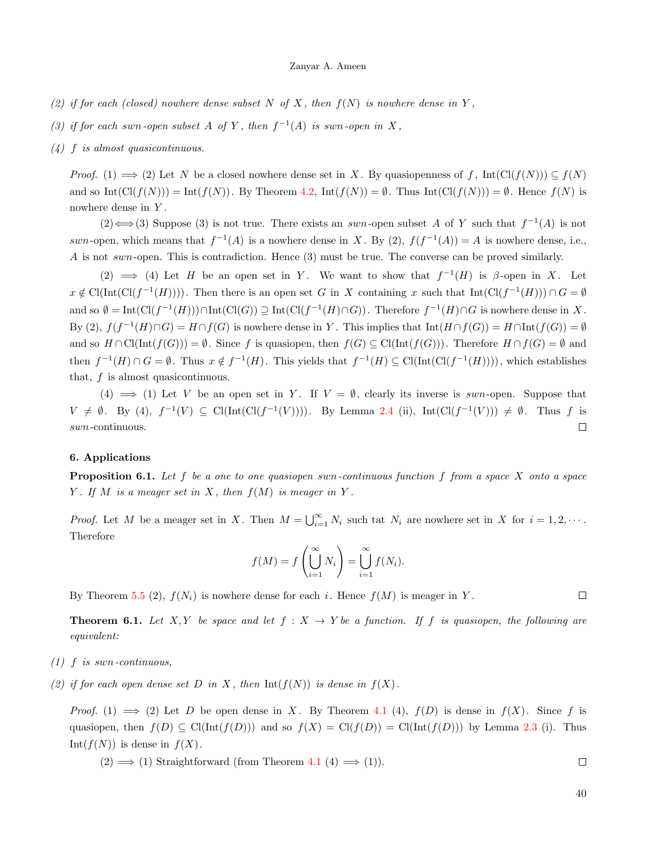- (2) if for each (closed) nowhere dense subset N of X, then  $f(N)$  is nowhere dense in Y,
- (3) if for each swn-open subset A of Y, then  $f^{-1}(A)$  is swn-open in X,
- (4) f is almost quasicontinuous.

*Proof.* (1)  $\implies$  (2) Let N be a closed nowhere dense set in X. By quasiopenness of f, Int(Cl(f(N)))  $\subseteq$  f(N) and so  $\text{Int}(\text{Cl}(f(N))) = \text{Int}(f(N)).$  By Theorem [4.2,](#page-7-0)  $\text{Int}(f(N)) = \emptyset$ . Thus  $\text{Int}(\text{Cl}(f(N))) = \emptyset$ . Hence  $f(N)$  is nowhere dense in Y .

(2)  $\Longleftrightarrow$  (3) Suppose (3) is not true. There exists an swn-open subset A of Y such that  $f^{-1}(A)$  is not swn-open, which means that  $f^{-1}(A)$  is a nowhere dense in X. By (2),  $f(f^{-1}(A)) = A$  is nowhere dense, i.e., A is not swn-open. This is contradiction. Hence (3) must be true. The converse can be proved similarly.

(2)  $\implies$  (4) Let H be an open set in Y. We want to show that  $f^{-1}(H)$  is  $\beta$ -open in X. Let  $x \notin \mathrm{Cl}(\mathrm{Int}(\mathrm{Cl}(f^{-1}(H))))$ . Then there is an open set G in X containing x such that  $\mathrm{Int}(\mathrm{Cl}(f^{-1}(H))) \cap G = \emptyset$ and so  $\emptyset = \text{Int}(\text{Cl}(f^{-1}(H))) \cap \text{Int}(\text{Cl}(G)) \supseteq \text{Int}(\text{Cl}(f^{-1}(H) \cap G))$ . Therefore  $f^{-1}(H) \cap G$  is nowhere dense in X. By (2),  $f(f^{-1}(H) \cap G) = H \cap f(G)$  is nowhere dense in Y. This implies that  $Int(H \cap f(G)) = H \cap Int(f(G)) = \emptyset$ and so  $H \cap \mathrm{Cl}(\mathrm{Int}(f(G))) = \emptyset$ . Since f is quasiopen, then  $f(G) \subseteq \mathrm{Cl}(\mathrm{Int}(f(G)))$ . Therefore  $H \cap f(G) = \emptyset$  and then  $f^{-1}(H) \cap G = \emptyset$ . Thus  $x \notin f^{-1}(H)$ . This yields that  $f^{-1}(H) \subseteq \mathrm{Cl}(\mathrm{Int}(\mathrm{Cl}(f^{-1}(H))))$ , which establishes that,  $f$  is almost quasicontinuous.

(4)  $\implies$  (1) Let V be an open set in Y. If  $V = \emptyset$ , clearly its inverse is swn-open. Suppose that  $V \neq \emptyset$ . By (4),  $f^{-1}(V) \subseteq \text{Cl}(\text{Int}(\text{Cl}(f^{-1}(V))))$ . By Lemma [2.4](#page-1-1) (ii),  $\text{Int}(\text{Cl}(f^{-1}(V))) \neq \emptyset$ . Thus f is  $\Box$ swn-continuous.

## 6. Applications

<span id="page-10-0"></span>**Proposition 6.1.** Let f be a one to one quasiopen swn-continuous function f from a space X onto a space Y. If M is a meager set in X, then  $f(M)$  is meager in Y.

*Proof.* Let M be a meager set in X. Then  $M = \bigcup_{i=1}^{\infty} N_i$  such tat  $N_i$  are nowhere set in X for  $i = 1, 2, \cdots$ . Therefore

$$
f(M) = f\left(\bigcup_{i=1}^{\infty} N_i\right) = \bigcup_{i=1}^{\infty} f(N_i).
$$

By Theorem [5.5](#page-9-1) (2),  $f(N_i)$  is nowhere dense for each i. Hence  $f(M)$  is meager in Y.

 $\Box$ 

<span id="page-10-1"></span>**Theorem 6.1.** Let X, Y be space and let  $f: X \rightarrow Y$  be a function. If f is quasiopen, the following are equivalent:

- $(1)$  f is swn-continuous,
- (2) if for each open dense set D in X, then  $Int(f(N))$  is dense in  $f(X)$ .

*Proof.* (1)  $\implies$  (2) Let D be open dense in X. By Theorem [4.1](#page-6-0) (4),  $f(D)$  is dense in  $f(X)$ . Since f is quasiopen, then  $f(D) \subseteq \text{Cl}(\text{Int}(f(D)))$  and so  $f(X) = \text{Cl}(f(D)) = \text{Cl}(\text{Int}(f(D)))$  by Lemma [2.3](#page-1-0) (i). Thus Int( $f(N)$ ) is dense in  $f(X)$ .

 $(2) \implies (1)$  Straightforward (from Theorem [4.1](#page-6-0)  $(4) \implies (1)$ ).  $\Box$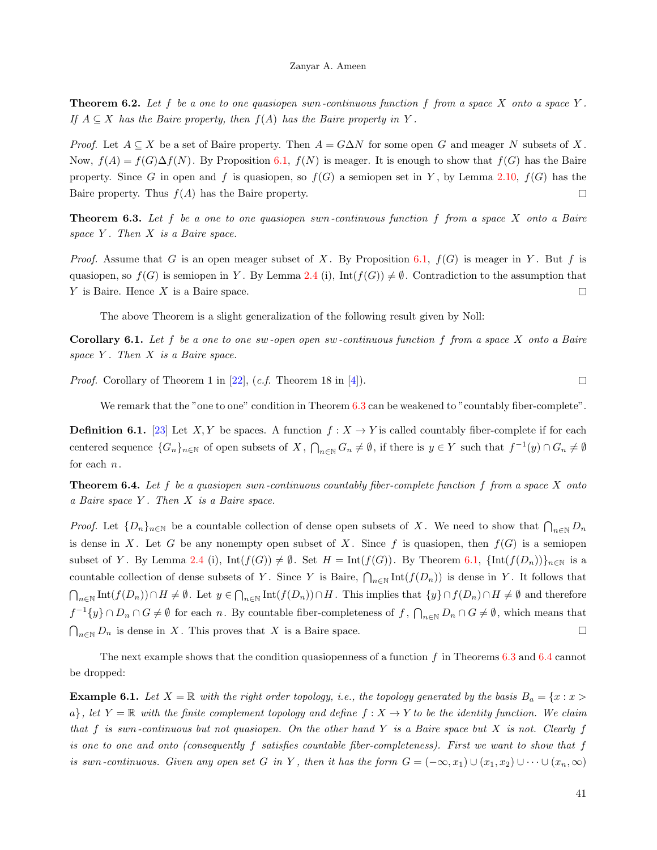**Theorem 6.2.** Let f be a one to one quasiopen swn-continuous function f from a space X onto a space Y. If  $A \subseteq X$  has the Baire property, then  $f(A)$  has the Baire property in Y.

*Proof.* Let  $A \subseteq X$  be a set of Baire property. Then  $A = G\Delta N$  for some open G and meager N subsets of X. Now,  $f(A) = f(G) \Delta f(N)$ . By Proposition [6.1,](#page-10-0)  $f(N)$  is meager. It is enough to show that  $f(G)$  has the Baire property. Since G in open and f is quasiopen, so  $f(G)$  a semiopen set in Y, by Lemma [2.10,](#page-2-4)  $f(G)$  has the Baire property. Thus  $f(A)$  has the Baire property.  $\Box$ 

<span id="page-11-0"></span>**Theorem 6.3.** Let f be a one to one quasiopen swn-continuous function f from a space X onto a Baire space  $Y$ . Then  $X$  is a Baire space.

*Proof.* Assume that G is an open meager subset of X. By Proposition [6.1,](#page-10-0)  $f(G)$  is meager in Y. But f is quasiopen, so  $f(G)$  is semiopen in Y. By Lemma [2.4](#page-1-1) (i), Int $(f(G)) \neq \emptyset$ . Contradiction to the assumption that  $Y$  is Baire. Hence  $X$  is a Baire space.  $\Box$ 

The above Theorem is a slight generalization of the following result given by Noll:

**Corollary 6.1.** Let f be a one to one sw-open open sw-continuous function f from a space X onto a Baire space  $Y$ . Then  $X$  is a Baire space.

*Proof.* Corollary of Theorem 1 in [\[22\]](#page-13-12),  $(c.f.$  Theorem 18 in [\[4\]](#page-12-3)).

We remark that the "one to one" condition in Theorem [6.3](#page-11-0) can be weakened to "countably fiber-complete".

**Definition 6.1.** [\[23\]](#page-13-13) Let X, Y be spaces. A function  $f : X \to Y$  is called countably fiber-complete if for each centered sequence  $\{G_n\}_{n\in\mathbb{N}}$  of open subsets of  $X$ ,  $\bigcap_{n\in\mathbb{N}} G_n \neq \emptyset$ , if there is  $y \in Y$  such that  $f^{-1}(y) \cap G_n \neq \emptyset$ for each n.

<span id="page-11-1"></span>**Theorem 6.4.** Let f be a quasiopen swn-continuous countably fiber-complete function f from a space X onto a Baire space Y . Then X is a Baire space.

*Proof.* Let  $\{D_n\}_{n\in\mathbb{N}}$  be a countable collection of dense open subsets of X. We need to show that  $\bigcap_{n\in\mathbb{N}} D_n$ is dense in X. Let G be any nonempty open subset of X. Since f is quasiopen, then  $f(G)$  is a semiopen subset of Y. By Lemma [2.4](#page-1-1) (i),  $Int(f(G)) \neq \emptyset$ . Set  $H = Int(f(G))$ . By Theorem [6.1,](#page-10-1)  $\{Int(f(D_n))\}_{n\in\mathbb{N}}$  is a countable collection of dense subsets of Y. Since Y is Baire,  $\bigcap_{n\in\mathbb{N}}\text{Int}(f(D_n))$  is dense in Y. It follows that  $\bigcap_{n\in\mathbb{N}}\text{Int}(f(D_n))\cap H\neq\emptyset$ . Let  $y\in\bigcap_{n\in\mathbb{N}}\text{Int}(f(D_n))\cap H$ . This implies that  $\{y\}\cap f(D_n)\cap H\neq\emptyset$  and therefore  $f^{-1}{y} \cap D_n \cap G \neq \emptyset$  for each n. By countable fiber-completeness of  $f$ ,  $\bigcap_{n\in\mathbb{N}} D_n \cap G \neq \emptyset$ , which means that  $\bigcap_{n\in\mathbb{N}} D_n$  is dense in X. This proves that X is a Baire space.  $\Box$ 

The next example shows that the condition quasiopenness of a function f in Theorems  $6.3$  and  $6.4$  cannot be dropped:

**Example 6.1.** Let  $X = \mathbb{R}$  with the right order topology, i.e., the topology generated by the basis  $B_a = \{x : x > a\}$ a}, let  $Y = \mathbb{R}$  with the finite complement topology and define  $f : X \to Y$  to be the identity function. We claim that f is swn-continuous but not quasiopen. On the other hand Y is a Baire space but X is not. Clearly f is one to one and onto (consequently f satisfies countable fiber-completeness). First we want to show that f is swn-continuous. Given any open set G in Y, then it has the form  $G = (-\infty, x_1) \cup (x_1, x_2) \cup \cdots \cup (x_n, \infty)$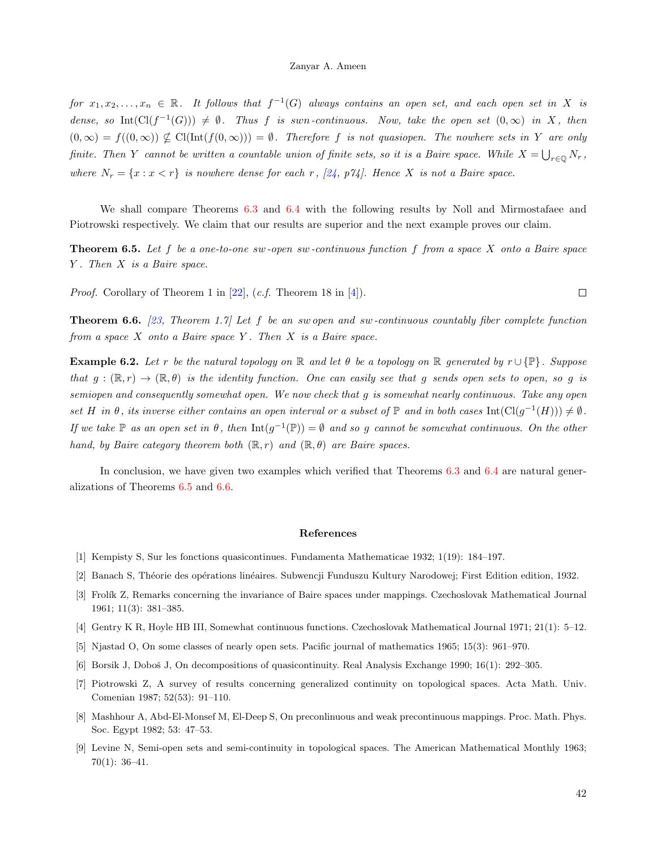for  $x_1, x_2, \ldots, x_n \in \mathbb{R}$ . It follows that  $f^{-1}(G)$  always contains an open set, and each open set in X is dense, so Int( $Cl(f^{-1}(G)) \neq \emptyset$ . Thus f is swn-continuous. Now, take the open set  $(0,\infty)$  in X, then  $(0,\infty) = f((0,\infty)) \nsubseteq \text{Cl}(\text{Int}(f(0,\infty))) = \emptyset$ . Therefore f is not quasiopen. The nowhere sets in Y are only finite. Then Y cannot be written a countable union of finite sets, so it is a Baire space. While  $X = \bigcup_{r \in \mathbb{Q}} N_r$ , where  $N_r = \{x : x < r\}$  is nowhere dense for each r, [\[24,](#page-13-14) p74]. Hence X is not a Baire space.

We shall compare Theorems [6.3](#page-11-0) and [6.4](#page-11-1) with the following results by Noll and Mirmostafaee and Piotrowski respectively. We claim that our results are superior and the next example proves our claim.

<span id="page-12-9"></span>**Theorem 6.5.** Let f be a one-to-one sw-open sw-continuous function f from a space X onto a Baire space Y . Then X is a Baire space.

*Proof.* Corollary of Theorem 1 in  $[22]$ ,  $(c.f.$  Theorem 18 in  $[4]$ .

<span id="page-12-10"></span>**Theorem 6.6.** [\[23,](#page-13-13) Theorem 1.7] Let f be an swopen and sw-continuous countably fiber complete function from a space  $X$  onto a Baire space  $Y$ . Then  $X$  is a Baire space.

**Example 6.2.** Let r be the natural topology on R and let  $\theta$  be a topology on R generated by  $r \cup {\mathbb{P}}$ . Suppose that  $g : (\mathbb{R}, r) \to (\mathbb{R}, \theta)$  is the identity function. One can easily see that g sends open sets to open, so g is semiopen and consequently somewhat open. We now check that g is somewhat nearly continuous. Take any open set H in  $\theta$ , its inverse either contains an open interval or a subset of  $\mathbb P$  and in both cases  $\mathrm{Int}(\mathrm{Cl}(g^{-1}(H))) \neq \emptyset$ . If we take  $\mathbb P$  as an open set in  $\theta$ , then  $\mathrm{Int}(g^{-1}(\mathbb P)) = \emptyset$  and so g cannot be somewhat continuous. On the other hand, by Baire category theorem both  $(\mathbb{R}, r)$  and  $(\mathbb{R}, \theta)$  are Baire spaces.

In conclusion, we have given two examples which verified that Theorems [6.3](#page-11-0) and [6.4](#page-11-1) are natural generalizations of Theorems [6.5](#page-12-9) and [6.6.](#page-12-10)

## References

- <span id="page-12-0"></span>[1] Kempisty S, Sur les fonctions quasicontinues. Fundamenta Mathematicae 1932; 1(19): 184–197.
- <span id="page-12-1"></span>[2] Banach S, Théorie des opérations linéaires. Subwencji Funduszu Kultury Narodowej; First Edition edition, 1932.
- <span id="page-12-2"></span>[3] Frolík Z, Remarks concerning the invariance of Baire spaces under mappings. Czechoslovak Mathematical Journal 1961; 11(3): 381–385.
- <span id="page-12-3"></span>[4] Gentry K R, Hoyle HB III, Somewhat continuous functions. Czechoslovak Mathematical Journal 1971; 21(1): 5–12.
- <span id="page-12-4"></span>[5] Njastad O, On some classes of nearly open sets. Pacific journal of mathematics 1965; 15(3): 961–970.
- <span id="page-12-5"></span>[6] Borsik J, Doboš J, On decompositions of quasicontinuity. Real Analysis Exchange 1990; 16(1): 292–305.
- <span id="page-12-6"></span>[7] Piotrowski Z, A survey of results concerning generalized continuity on topological spaces. Acta Math. Univ. Comenian 1987; 52(53): 91–110.
- <span id="page-12-7"></span>[8] Mashhour A, Abd-El-Monsef M, El-Deep S, On preconlinuous and weak precontinuous mappings. Proc. Math. Phys. Soc. Egypt 1982; 53: 47–53.
- <span id="page-12-8"></span>[9] Levine N, Semi-open sets and semi-continuity in topological spaces. The American Mathematical Monthly 1963;  $70(1): 36-41.$

42